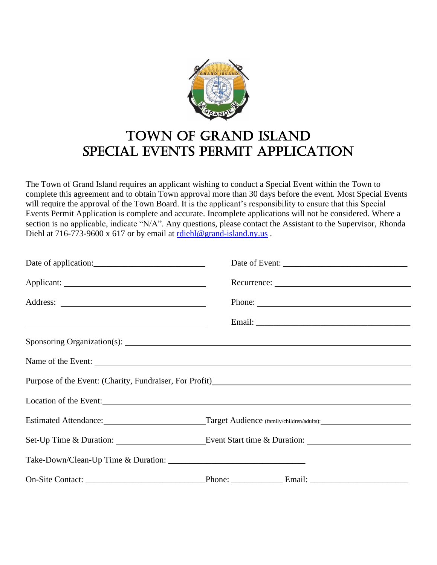

# Town of Grand Island Special Events Permit Application

The Town of Grand Island requires an applicant wishing to conduct a Special Event within the Town to complete this agreement and to obtain Town approval more than 30 days before the event. Most Special Events will require the approval of the Town Board. It is the applicant's responsibility to ensure that this Special Events Permit Application is complete and accurate. Incomplete applications will not be considered. Where a section is no applicable, indicate "N/A". Any questions, please contact the Assistant to the Supervisor, Rhonda Diehl at 716-773-9600 x 617 or by email at  $r \frac{diehl \omega_{grand-island.ny.us}}{l}$ .

|                                                            | Phone:                                                                                                                     |
|------------------------------------------------------------|----------------------------------------------------------------------------------------------------------------------------|
| <u> 1989 - Johann Barn, amerikansk politiker (d. 1989)</u> |                                                                                                                            |
|                                                            |                                                                                                                            |
|                                                            |                                                                                                                            |
|                                                            | Purpose of the Event: (Charity, Fundraiser, For Profit)<br><u>Letter and the Event: (Charity, Fundraiser</u> , For Profit) |
|                                                            | Location of the Event: 1000 million and the Event: 1000 million and the Event: 1000 million and the Event: 100             |
|                                                            | Estimated Attendance: Target Audience (family/children/adults):                                                            |
|                                                            |                                                                                                                            |
|                                                            |                                                                                                                            |
| On-Site Contact:                                           |                                                                                                                            |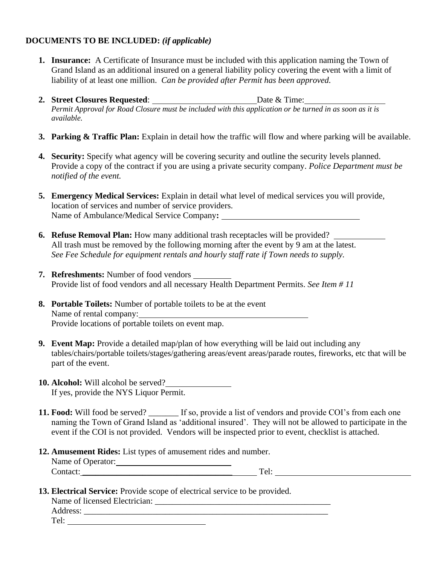#### **DOCUMENTS TO BE INCLUDED:** *(if applicable)*

- **1. Insurance:** A Certificate of Insurance must be included with this application naming the Town of Grand Island as an additional insured on a general liability policy covering the event with a limit of liability of at least one million. *Can be provided after Permit has been approved.*
- **2. Street Closures Requested**: Date & Time: *Permit Approval for Road Closure must be included with this application or be turned in as soon as it is available.*
- **3. Parking & Traffic Plan:** Explain in detail how the traffic will flow and where parking will be available.
- **4. Security:** Specify what agency will be covering security and outline the security levels planned. Provide a copy of the contract if you are using a private security company. *Police Department must be notified of the event.*
- **5. Emergency Medical Services:** Explain in detail what level of medical services you will provide, location of services and number of service providers. Name of Ambulance/Medical Service Company**:**
- **6. Refuse Removal Plan:** How many additional trash receptacles will be provided? All trash must be removed by the following morning after the event by 9 am at the latest. *See Fee Schedule for equipment rentals and hourly staff rate if Town needs to supply.*
- **7. Refreshments:** Number of food vendors Provide list of food vendors and all necessary Health Department Permits. *See Item # 11*
- **8. Portable Toilets:** Number of portable toilets to be at the event Name of rental company: Provide locations of portable toilets on event map.
- **9. Event Map:** Provide a detailed map/plan of how everything will be laid out including any tables/chairs/portable toilets/stages/gathering areas/event areas/parade routes, fireworks, etc that will be part of the event.
- **10. Alcohol:** Will alcohol be served? If yes, provide the NYS Liquor Permit.
- **11. Food:** Will food be served? \_\_\_\_\_\_\_ If so, provide a list of vendors and provide COI's from each one naming the Town of Grand Island as 'additional insured'. They will not be allowed to participate in the event if the COI is not provided. Vendors will be inspected prior to event, checklist is attached.
- **12. Amusement Rides:** List types of amusement rides and number. Name of Operator: Contact: Tel:
- **13. Electrical Service:** Provide scope of electrical service to be provided.

| Name of licensed Electrician: |  |  |
|-------------------------------|--|--|
| Address:                      |  |  |
| Tel:                          |  |  |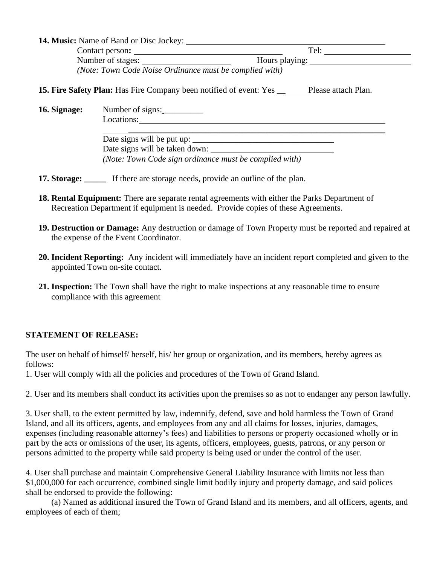| <b>14. Music:</b> Name of Band or Disc Jockey:          |                |
|---------------------------------------------------------|----------------|
| Contact person:                                         | Tel:           |
| Number of stages:                                       | Hours playing: |
| (Note: Town Code Noise Ordinance must be complied with) |                |

\_\_\_\_\_\_\_\_\_\_\_\_\_\_\_\_\_\_\_\_\_\_\_\_\_\_\_\_\_\_\_\_\_\_\_\_\_\_\_\_\_\_\_\_\_\_\_\_\_\_\_\_\_\_\_\_\_\_\_\_

**15. Fire Safety Plan:** Has Fire Company been notified of event: Yes \_\_\_\_\_\_\_\_\_\_\_ Please attach Plan.

**16. Signage:** Number of signs: \_\_\_\_\_\_\_\_\_

Locations:

Date signs will be put up: \_\_\_\_\_\_\_\_\_\_\_\_\_\_\_\_\_\_\_\_\_\_\_\_\_\_\_\_\_\_\_\_\_ Date signs will be taken down: *(Note: Town Code sign ordinance must be complied with)*

- **17. Storage:** If there are storage needs, provide an outline of the plan.
- **18. Rental Equipment:** There are separate rental agreements with either the Parks Department of Recreation Department if equipment is needed. Provide copies of these Agreements.
- **19. Destruction or Damage:** Any destruction or damage of Town Property must be reported and repaired at the expense of the Event Coordinator.
- **20. Incident Reporting:** Any incident will immediately have an incident report completed and given to the appointed Town on-site contact.
- **21. Inspection:** The Town shall have the right to make inspections at any reasonable time to ensure compliance with this agreement

### **STATEMENT OF RELEASE:**

The user on behalf of himself/ herself, his/ her group or organization, and its members, hereby agrees as follows:

1. User will comply with all the policies and procedures of the Town of Grand Island.

2. User and its members shall conduct its activities upon the premises so as not to endanger any person lawfully.

3. User shall, to the extent permitted by law, indemnify, defend, save and hold harmless the Town of Grand Island, and all its officers, agents, and employees from any and all claims for losses, injuries, damages, expenses (including reasonable attorney's fees) and liabilities to persons or property occasioned wholly or in part by the acts or omissions of the user, its agents, officers, employees, guests, patrons, or any person or persons admitted to the property while said property is being used or under the control of the user.

4. User shall purchase and maintain Comprehensive General Liability Insurance with limits not less than \$1,000,000 for each occurrence, combined single limit bodily injury and property damage, and said polices shall be endorsed to provide the following:

(a) Named as additional insured the Town of Grand Island and its members, and all officers, agents, and employees of each of them;